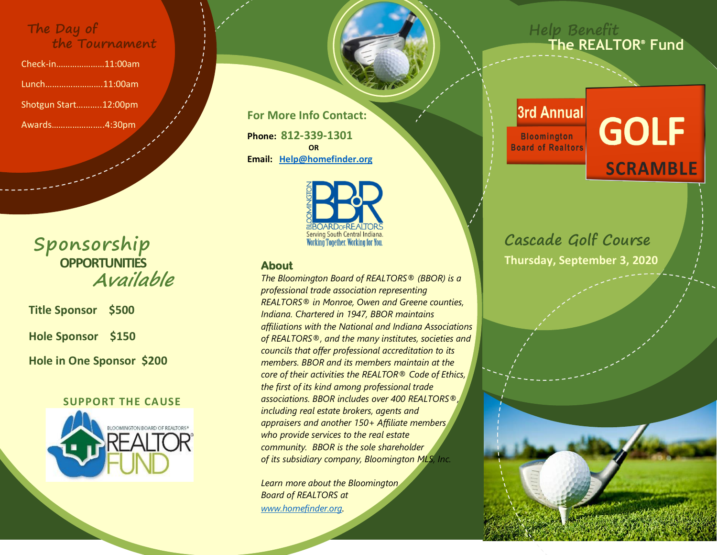### **The Day of the Tournament**

Check-in…………………11:00am Lunch…………………….11:00am Shotgun Start………..12:00pm Awards…………………..4:30pm

> **Sponsorship OPPORTUNITIES Available**

**Title Sponsor \$500**

**Hole Sponsor \$150**

**Hole in One Sponsor \$200**

### **SUPPORT THE CAUSE**



**For More Info Contact: Phone: 812-339-1301** *<u>OR</u>* **Email: [Help@homefinder.org](mailto:Help@homefinder.org)**



### **About**

*The Bloomington Board of REALTORS® (BBOR) is a professional trade association representing REALTORS® in Monroe, Owen and Greene counties, Indiana. Chartered in 1947, BBOR maintains affiliations with the National and Indiana Associations of REALTORS®, and the many institutes, societies and councils that offer professional accreditation to its members. BBOR and its members maintain at the core of their activities the REALTOR® Code of Ethics, the first of its kind among professional trade associations. BBOR includes over 400 REALTORS®, including real estate brokers, agents and appraisers and another 150+ Affiliate members who provide services to the real estate community. BBOR is the sole shareholder of its subsidiary company, Bloomington MLS, Inc.* 

*Learn more about the Bloomington Board of REALTORS at [www.homefinder.org](http://www.homefinder.org/).* 

### **Help Benefit The REALTOR Fund**

## 3rd Annual

**Bloomington Board of Realtors** 

# **GOLF SCRAMBLE**

## **Cascade Golf Course Thursday, September 3, 2020**